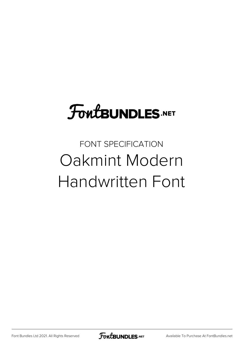## **FoutBUNDLES.NET**

FONT SPECIFICATION Oakmint Modern Handwritten Font

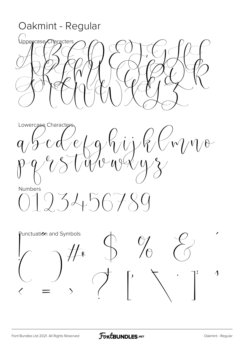Oakmint - Regular ()<br>Uppercase/Characters Lowercase Characters  $eL$  $W/\sqrt{1-\theta}$  $\mathscr{C}$  $q/\sqrt{2}$  $\mathcal{W}^{\mathcal{L}}$  $\overline{\mathbb{Q}}$ Numbers  $1934567$  $\mathcal{L}$ Punctuation and Symbols  $\overline{\mathcal{K}}$  $\boldsymbol{\Lambda}$  $\mathbf{I}$ 

 $\overline{\phantom{a}}$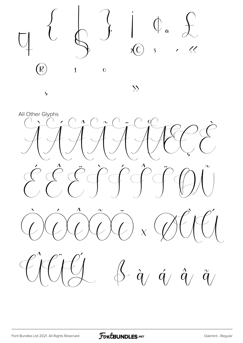

All Other Glyphs  $\overline{v}$  $\overline{\phantom{a}}$  $\sim$  $\widetilde{q}/% \widetilde{q}$  $\hat{q}$  /  $\hat{q}$  /  $\hat{q}$  /  $\bigwedge$ 

 $\overline{b}$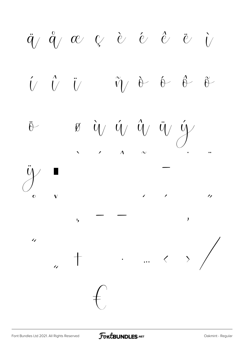$\ddot{q}$   $\ddot{q}$   $\alpha$   $\beta$  è é è è i  $\hat{U}$   $\hat{U}$   $\hat{U}$  $\tilde{\eta}$  &  $\theta$  &  $\stackrel{\sim}{\theta}$  $\hat{y}$   $\hat{y}$   $\hat{y}$  $\emptyset$  $\ddot{y}$  $\ddot{\theta}$  $\lambda$  $\checkmark$  $\overline{\phantom{a}}$  $\overline{\phantom{a}}$  $\frac{1}{2}$  $\overline{O}$  $\mathbf{I}$  $\mathbf{b}$  $\overline{1}$  $\cdots$   $\left\langle \quad \right\rangle$  $\top$  $\frac{1}{2}$